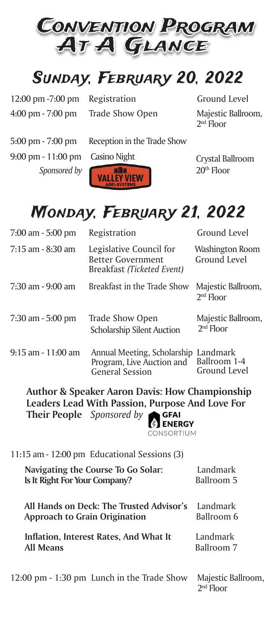

## Sunday, February 20, 2022

4:00 pm - 7:00 pm Trade Show Open Majestic Ballroom,

12:00 pm -7:00 pm Registration Ground Level

2nd Floor

5:00 pm - 7:00 pm Reception in the Trade Show 9:00 pm - 11:00 pm Casino Night Crystal Ballroom

*Sponsored by* **VALLEY VIEW** 20<sup>th</sup> Floor

## Monday, February 21, 2022

| 7:00 am - 5:00 pm                                                                                                                                                                   | Registration                                                                             | Ground Level                      |  |  |
|-------------------------------------------------------------------------------------------------------------------------------------------------------------------------------------|------------------------------------------------------------------------------------------|-----------------------------------|--|--|
| 7:15 am - 8:30 am                                                                                                                                                                   | Legislative Council for<br><b>Better Government</b><br><b>Breakfast (Ticketed Event)</b> | Washington Room<br>Ground Level   |  |  |
| 7:30 am - 9:00 am                                                                                                                                                                   | Breakfast in the Trade Show                                                              | Majestic Ballroom,<br>$2nd$ Floor |  |  |
| 7:30 am - 5:00 pm                                                                                                                                                                   | Trade Show Open<br><b>Scholarship Silent Auction</b>                                     | Majestic Ballroom,<br>$2nd$ Floor |  |  |
| 9:15 am - 11:00 am                                                                                                                                                                  | Annual Meeting, Scholarship Landmark<br>Program, Live Auction and<br>General Session     | Ballroom 1-4<br>Ground Level      |  |  |
| Author & Speaker Aaron Davis: How Championship<br>Leaders Lead With Passion, Purpose And Love For<br><b>Their People</b> Sponsored by<br><b>GFAI</b><br><b>ENERGY</b><br>CONSORTIUM |                                                                                          |                                   |  |  |
|                                                                                                                                                                                     | 11:15 am - 12:00 pm Educational Sessions (3)                                             |                                   |  |  |
| Navigating the Course To Go Solar:<br>Is It Right For Your Company?                                                                                                                 |                                                                                          | Landmark<br>Ballroom 5            |  |  |
| All Hands on Deck: The Trusted Advisor's<br><b>Approach to Grain Origination</b>                                                                                                    |                                                                                          | Landmark<br>Ballroom 6            |  |  |
| Inflation, Interest Rates, And What It<br><b>All Means</b>                                                                                                                          |                                                                                          | Landmark<br>Ballroom 7            |  |  |
| 12:00 pm - 1:30 pm Lunch in the Trade Show                                                                                                                                          |                                                                                          | Majestic Ballroom,<br>$2nd$ Floor |  |  |